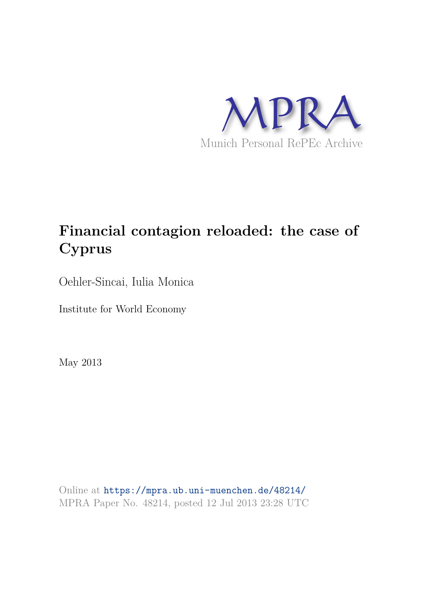

# **Financial contagion reloaded: the case of Cyprus**

Oehler-Sincai, Iulia Monica

Institute for World Economy

May 2013

Online at https://mpra.ub.uni-muenchen.de/48214/ MPRA Paper No. 48214, posted 12 Jul 2013 23:28 UTC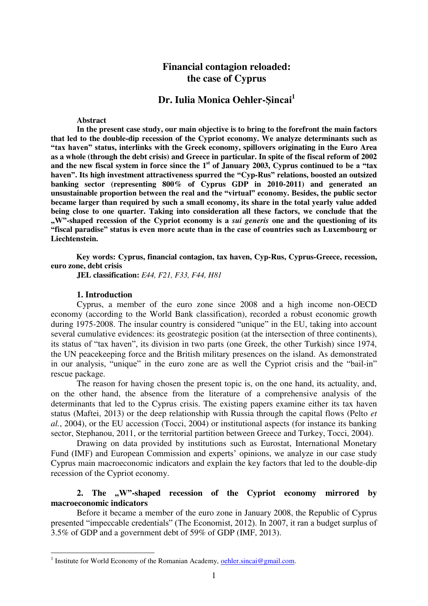# **Financial contagion reloaded: the case of Cyprus**

# **Dr. Iulia Monica Oehler-Şincai<sup>1</sup>**

#### **Abstract**

**In the present case study, our main objective is to bring to the forefront the main factors that led to the double-dip recession of the Cypriot economy. We analyze determinants such as "tax haven" status, interlinks with the Greek economy, spillovers originating in the Euro Area as a whole (through the debt crisis) and Greece in particular. In spite of the fiscal reform of 2002**  and the new fiscal system in force since the 1<sup>st</sup> of January 2003, Cyprus continued to be a "tax **haven". Its high investment attractiveness spurred the "Cyp-Rus" relations, boosted an outsized banking sector (representing 800% of Cyprus GDP in 2010-2011) and generated an unsustainable proportion between the real and the "virtual" economy. Besides, the public sector became larger than required by such a small economy, its share in the total yearly value added being close to one quarter. Taking into consideration all these factors, we conclude that the "W"-shaped recession of the Cypriot economy is a** *sui generis* **one and the questioning of its "fiscal paradise" status is even more acute than in the case of countries such as Luxembourg or Liechtenstein.** 

**Key words: Cyprus, financial contagion, tax haven, Cyp-Rus, Cyprus-Greece, recession, euro zone, debt crisis** 

**JEL classification:** *E44, F21, F33, F44, H81* 

#### **1. Introduction**

Cyprus, a member of the euro zone since 2008 and a high income non-OECD economy (according to the World Bank classification), recorded a robust economic growth during 1975-2008. The insular country is considered "unique" in the EU, taking into account several cumulative evidences: its geostrategic position (at the intersection of three continents), its status of "tax haven", its division in two parts (one Greek, the other Turkish) since 1974, the UN peacekeeping force and the British military presences on the island. As demonstrated in our analysis, "unique" in the euro zone are as well the Cypriot crisis and the "bail-in" rescue package.

The reason for having chosen the present topic is, on the one hand, its actuality, and, on the other hand, the absence from the literature of a comprehensive analysis of the determinants that led to the Cyprus crisis. The existing papers examine either its tax haven status (Maftei, 2013) or the deep relationship with Russia through the capital flows (Pelto *et al.*, 2004), or the EU accession (Tocci, 2004) or institutional aspects (for instance its banking sector, Stephanou, 2011, or the territorial partition between Greece and Turkey, Tocci, 2004).

Drawing on data provided by institutions such as Eurostat, International Monetary Fund (IMF) and European Commission and experts' opinions, we analyze in our case study Cyprus main macroeconomic indicators and explain the key factors that led to the double-dip recession of the Cypriot economy.

## 2. The , W"-shaped recession of the Cypriot economy mirrored by **macroeconomic indicators**

Before it became a member of the euro zone in January 2008, the Republic of Cyprus presented "impeccable credentials" (The Economist, 2012). In 2007, it ran a budget surplus of 3.5% of GDP and a government debt of 59% of GDP (IMF, 2013).

<sup>&</sup>lt;sup>1</sup> Institute for World Economy of the Romanian Academy, <u>oehler.sincai@gmail.com</u>.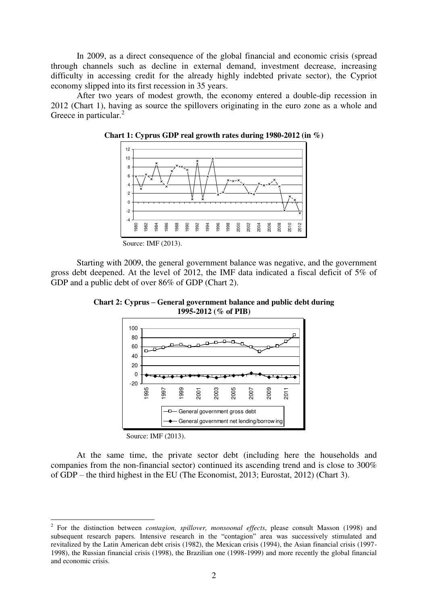In 2009, as a direct consequence of the global financial and economic crisis (spread through channels such as decline in external demand, investment decrease, increasing difficulty in accessing credit for the already highly indebted private sector), the Cypriot economy slipped into its first recession in 35 years.

After two years of modest growth, the economy entered a double-dip recession in 2012 (Chart 1), having as source the spillovers originating in the euro zone as a whole and Greece in particular.<sup>2</sup>



**Chart 1: Cyprus GDP real growth rates during 1980-2012 (in %)**

Starting with 2009, the general government balance was negative, and the government gross debt deepened. At the level of 2012, the IMF data indicated a fiscal deficit of 5% of GDP and a public debt of over 86% of GDP (Chart 2).

**Chart 2: Cyprus – General government balance and public debt during 1995-2012 (% of PIB)**



Source: IMF (2013).

<u>.</u>

At the same time, the private sector debt (including here the households and companies from the non-financial sector) continued its ascending trend and is close to 300% of GDP – the third highest in the EU (The Economist, 2013; Eurostat, 2012) (Chart 3).

<sup>2</sup> For the distinction between *contagion, spillover, monsoonal effects*, please consult Masson (1998) and subsequent research papers. Intensive research in the "contagion" area was successively stimulated and revitalized by the Latin American debt crisis (1982), the Mexican crisis (1994), the Asian financial crisis (1997- 1998), the Russian financial crisis (1998), the Brazilian one (1998-1999) and more recently the global financial and economic crisis.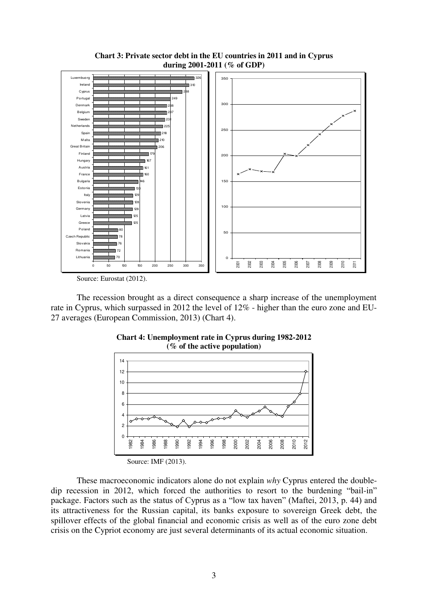

**Chart 3: Private sector debt in the EU countries in 2011 and in Cyprus during 2001-2011 (% of GDP)** 

Source: Eurostat (2012).

The recession brought as a direct consequence a sharp increase of the unemployment rate in Cyprus, which surpassed in 2012 the level of 12% - higher than the euro zone and EU-27 averages (European Commission, 2013) (Chart 4).



**Chart 4: Unemployment rate in Cyprus during 1982-2012** 

These macroeconomic indicators alone do not explain *why* Cyprus entered the doubledip recession in 2012, which forced the authorities to resort to the burdening "bail-in" package. Factors such as the status of Cyprus as a "low tax haven" (Maftei, 2013, p. 44) and its attractiveness for the Russian capital, its banks exposure to sovereign Greek debt, the spillover effects of the global financial and economic crisis as well as of the euro zone debt crisis on the Cypriot economy are just several determinants of its actual economic situation.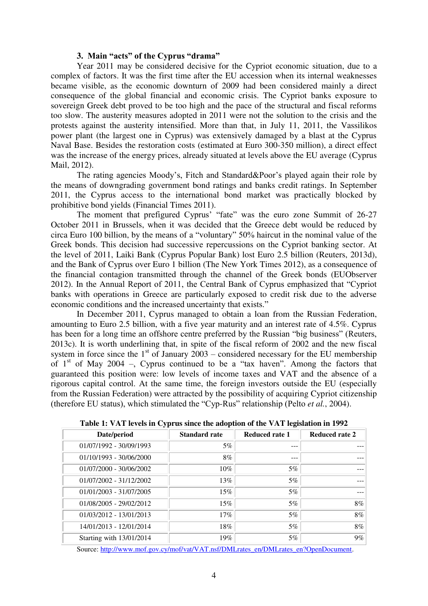### **3. Main "acts" of the Cyprus "drama"**

Year 2011 may be considered decisive for the Cypriot economic situation, due to a complex of factors. It was the first time after the EU accession when its internal weaknesses became visible, as the economic downturn of 2009 had been considered mainly a direct consequence of the global financial and economic crisis. The Cypriot banks exposure to sovereign Greek debt proved to be too high and the pace of the structural and fiscal reforms too slow. The austerity measures adopted in 2011 were not the solution to the crisis and the protests against the austerity intensified. More than that, in July 11, 2011, the Vassilikos power plant (the largest one in Cyprus) was extensively damaged by a blast at the Cyprus Naval Base. Besides the restoration costs (estimated at Euro 300-350 million), a direct effect was the increase of the energy prices, already situated at levels above the EU average (Cyprus Mail, 2012).

The rating agencies Moody's, Fitch and Standard&Poor's played again their role by the means of downgrading government bond ratings and banks credit ratings. In September 2011, the Cyprus access to the international bond market was practically blocked by prohibitive bond yields (Financial Times 2011).

The moment that prefigured Cyprus' "fate" was the euro zone Summit of 26-27 October 2011 in Brussels, when it was decided that the Greece debt would be reduced by circa Euro 100 billion, by the means of a "voluntary" 50% haircut in the nominal value of the Greek bonds. This decision had successive repercussions on the Cypriot banking sector. At the level of 2011, Laiki Bank (Cyprus Popular Bank) lost Euro 2.5 billion (Reuters, 2013d), and the Bank of Cyprus over Euro 1 billion (The New York Times 2012), as a consequence of the financial contagion transmitted through the channel of the Greek bonds (EUObserver 2012). In the Annual Report of 2011, the Central Bank of Cyprus emphasized that "Cypriot banks with operations in Greece are particularly exposed to credit risk due to the adverse economic conditions and the increased uncertainty that exists."

In December 2011, Cyprus managed to obtain a loan from the Russian Federation, amounting to Euro 2.5 billion, with a five year maturity and an interest rate of 4.5%. Cyprus has been for a long time an offshore centre preferred by the Russian "big business" (Reuters, 2013c). It is worth underlining that, in spite of the fiscal reform of 2002 and the new fiscal system in force since the  $1<sup>st</sup>$  of January 2003 – considered necessary for the EU membership of  $1<sup>st</sup>$  of May 2004 –, Cyprus continued to be a "tax haven". Among the factors that guaranteed this position were: low levels of income taxes and VAT and the absence of a rigorous capital control. At the same time, the foreign investors outside the EU (especially from the Russian Federation) were attracted by the possibility of acquiring Cypriot citizenship (therefore EU status), which stimulated the "Cyp-Rus" relationship (Pelto *et al.*, 2004).

| Date/period               | <b>Standard rate</b> | <b>Reduced rate 1</b> | Reduced rate 2 |
|---------------------------|----------------------|-----------------------|----------------|
| 01/07/1992 - 30/09/1993   | $5\%$                |                       |                |
| $01/10/1993 - 30/06/2000$ | 8%                   |                       |                |
| 01/07/2000 - 30/06/2002   | $10\%$               | $5\%$                 |                |
| $01/07/2002 - 31/12/2002$ | 13%                  | $5\%$                 |                |
| $01/01/2003 - 31/07/2005$ | 15%                  | $5\%$                 |                |
| $01/08/2005 - 29/02/2012$ | 15%                  | 5%                    | 8%             |
| 01/03/2012 - 13/01/2013   | 17%                  | 5%                    | 8%             |
| 14/01/2013 - 12/01/2014   | 18%                  | 5%                    | 8%             |
| Starting with 13/01/2014  | 19%                  | 5%                    | 9%             |

**Table 1: VAT levels in Cyprus since the adoption of the VAT legislation in 1992** 

Source: [http://www.mof.gov.cy/mof/vat/VAT.nsf/DMLrates\\_en/DMLrates\\_en?OpenDocument.](http://www.mof.gov.cy/mof/vat/VAT.nsf/DMLrates_en/DMLrates_en?OpenDocument)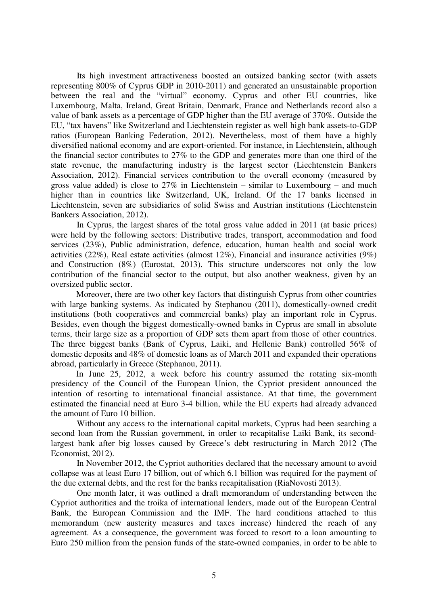Its high investment attractiveness boosted an outsized banking sector (with assets representing 800% of Cyprus GDP in 2010-2011) and generated an unsustainable proportion between the real and the "virtual" economy. Cyprus and other EU countries, like Luxembourg, Malta, Ireland, Great Britain, Denmark, France and Netherlands record also a value of bank assets as a percentage of GDP higher than the EU average of 370%. Outside the EU, "tax havens" like Switzerland and Liechtenstein register as well high bank assets-to-GDP ratios (European Banking Federation, 2012). Nevertheless, most of them have a highly diversified national economy and are export-oriented. For instance, in Liechtenstein, although the financial sector contributes to 27% to the GDP and generates more than one third of the state revenue, the manufacturing industry is the largest sector (Liechtenstein Bankers Association, 2012). Financial services contribution to the overall economy (measured by gross value added) is close to  $27\%$  in Liechtenstein – similar to Luxembourg – and much higher than in countries like Switzerland, UK, Ireland. Of the 17 banks licensed in Liechtenstein, seven are subsidiaries of solid Swiss and Austrian institutions (Liechtenstein Bankers Association, 2012).

In Cyprus, the largest shares of the total gross value added in 2011 (at basic prices) were held by the following sectors: Distributive trades, transport, accommodation and food services (23%), Public administration, defence, education, human health and social work activities (22%), Real estate activities (almost 12%), Financial and insurance activities (9%) and Construction (8%) (Eurostat, 2013). This structure underscores not only the low contribution of the financial sector to the output, but also another weakness, given by an oversized public sector.

Moreover, there are two other key factors that distinguish Cyprus from other countries with large banking systems. As indicated by Stephanou (2011), domestically-owned credit institutions (both cooperatives and commercial banks) play an important role in Cyprus. Besides, even though the biggest domestically-owned banks in Cyprus are small in absolute terms, their large size as a proportion of GDP sets them apart from those of other countries. The three biggest banks (Bank of Cyprus, Laiki, and Hellenic Bank) controlled 56% of domestic deposits and 48% of domestic loans as of March 2011 and expanded their operations abroad, particularly in Greece (Stephanou, 2011).

In June 25, 2012, a week before his country assumed the rotating six-month presidency of the Council of the European Union, the Cypriot president announced the intention of resorting to international financial assistance. At that time, the government estimated the financial need at Euro 3-4 billion, while the EU experts had already advanced the amount of Euro 10 billion.

Without any access to the international capital markets, Cyprus had been searching a second loan from the Russian government, in order to recapitalise Laiki Bank, its secondlargest bank after big losses caused by Greece's debt restructuring in March 2012 (The Economist, 2012).

In November 2012, the Cypriot authorities declared that the necessary amount to avoid collapse was at least Euro 17 billion, out of which 6.1 billion was required for the payment of the due external debts, and the rest for the banks recapitalisation (RiaNovosti 2013).

One month later, it was outlined a draft memorandum of understanding between the Cypriot authorities and the troika of international lenders, made out of the European Central Bank, the European Commission and the IMF. The hard conditions attached to this memorandum (new austerity measures and taxes increase) hindered the reach of any agreement. As a consequence, the government was forced to resort to a loan amounting to Euro 250 million from the pension funds of the state-owned companies, in order to be able to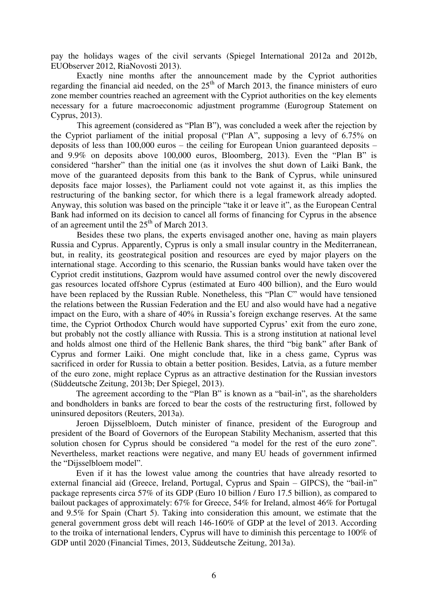pay the holidays wages of the civil servants (Spiegel International 2012a and 2012b, EUObserver 2012, RiaNovosti 2013).

Exactly nine months after the announcement made by the Cypriot authorities regarding the financial aid needed, on the  $25<sup>th</sup>$  of March 2013, the finance ministers of euro zone member countries reached an agreement with the Cypriot authorities on the key elements necessary for a future macroeconomic adjustment programme (Eurogroup Statement on Cyprus, 2013).

This agreement (considered as "Plan B"), was concluded a week after the rejection by the Cypriot parliament of the initial proposal ("Plan A", supposing a levy of 6.75% on deposits of less than 100,000 euros – the ceiling for European Union guaranteed deposits – and 9.9% on deposits above 100,000 euros, Bloomberg, 2013). Even the "Plan B" is considered "harsher" than the initial one (as it involves the shut down of Laiki Bank, the move of the guaranteed deposits from this bank to the Bank of Cyprus, while uninsured deposits face major losses), the Parliament could not vote against it, as this implies the restructuring of the banking sector, for which there is a legal framework already adopted. Anyway, this solution was based on the principle "take it or leave it", as the European Central Bank had informed on its decision to cancel all forms of financing for Cyprus in the absence of an agreement until the  $25<sup>th</sup>$  of March 2013.

Besides these two plans, the experts envisaged another one, having as main players Russia and Cyprus. Apparently, Cyprus is only a small insular country in the Mediterranean, but, in reality, its geostrategical position and resources are eyed by major players on the international stage. According to this scenario, the Russian banks would have taken over the Cypriot credit institutions, Gazprom would have assumed control over the newly discovered gas resources located offshore Cyprus (estimated at Euro 400 billion), and the Euro would have been replaced by the Russian Ruble. Nonetheless, this "Plan C" would have tensioned the relations between the Russian Federation and the EU and also would have had a negative impact on the Euro, with a share of 40% in Russia's foreign exchange reserves. At the same time, the Cypriot Orthodox Church would have supported Cyprus' exit from the euro zone, but probably not the costly alliance with Russia. This is a strong institution at national level and holds almost one third of the Hellenic Bank shares, the third "big bank" after Bank of Cyprus and former Laiki. One might conclude that, like in a chess game, Cyprus was sacrificed in order for Russia to obtain a better position. Besides, Latvia, as a future member of the euro zone, might replace Cyprus as an attractive destination for the Russian investors (Süddeutsche Zeitung, 2013b; Der Spiegel, 2013).

The agreement according to the "Plan B" is known as a "bail-in", as the shareholders and bondholders in banks are forced to bear the costs of the restructuring first, followed by uninsured depositors (Reuters, 2013a).

Jeroen Dijsselbloem, Dutch minister of finance, president of the Eurogroup and president of the Board of Governors of the European Stability Mechanism, asserted that this solution chosen for Cyprus should be considered "a model for the rest of the euro zone". Nevertheless, market reactions were negative, and many EU heads of government infirmed the "Dijsselbloem model".

Even if it has the lowest value among the countries that have already resorted to external financial aid (Greece, Ireland, Portugal, Cyprus and Spain – GIPCS), the "bail-in" package represents circa 57% of its GDP (Euro 10 billion / Euro 17.5 billion), as compared to bailout packages of approximately: 67% for Greece, 54% for Ireland, almost 46% for Portugal and 9.5% for Spain (Chart 5). Taking into consideration this amount, we estimate that the general government gross debt will reach 146-160% of GDP at the level of 2013. According to the troika of international lenders, Cyprus will have to diminish this percentage to 100% of GDP until 2020 (Financial Times, 2013, Süddeutsche Zeitung, 2013a).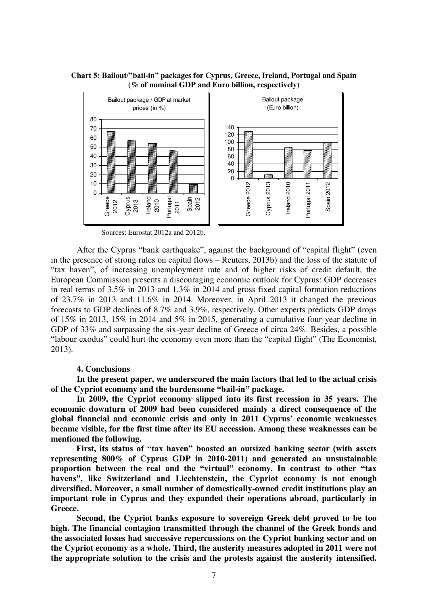**Chart 5: Bailout/"bail-in" packages for Cyprus, Greece, Ireland, Portugal and Spain (% of nominal GDP and Euro billion, respectively)** 



Sources: Eurostat 2012a and 2012b.

After the Cyprus "bank earthquake", against the background of "capital flight" (even in the presence of strong rules on capital flows – Reuters, 2013b) and the loss of the statute of "tax haven", of increasing unemployment rate and of higher risks of credit default, the European Commission presents a discouraging economic outlook for Cyprus: GDP decreases in real terms of 3.5% in 2013 and 1.3% in 2014 and gross fixed capital formation reductions of 23.7% in 2013 and 11.6% in 2014. Moreover, in April 2013 it changed the previous forecasts to GDP declines of 8.7% and 3.9%, respectively. Other experts predicts GDP drops of 15% in 2013, 15% in 2014 and 5% in 2015, generating a cumulative four-year decline in GDP of 33% and surpassing the six-year decline of Greece of circa 24%. Besides, a possible "labour exodus" could hurt the economy even more than the "capital flight" (The Economist, 2013).

#### **4. Conclusions**

**In the present paper, we underscored the main factors that led to the actual crisis of the Cypriot economy and the burdensome "bail-in" package.** 

**In 2009, the Cypriot economy slipped into its first recession in 35 years. The economic downturn of 2009 had been considered mainly a direct consequence of the global financial and economic crisis and only in 2011 Cyprus' economic weaknesses became visible, for the first time after its EU accession. Among these weaknesses can be mentioned the following.** 

**First, its status of "tax haven" boosted an outsized banking sector (with assets representing 800% of Cyprus GDP in 2010-2011) and generated an unsustainable proportion between the real and the "virtual" economy. In contrast to other "tax havens", like Switzerland and Liechtenstein, the Cypriot economy is not enough diversified. Moreover, a small number of domestically-owned credit institutions play an important role in Cyprus and they expanded their operations abroad, particularly in Greece.** 

**Second, the Cypriot banks exposure to sovereign Greek debt proved to be too high. The financial contagion transmitted through the channel of the Greek bonds and the associated losses had successive repercussions on the Cypriot banking sector and on the Cypriot economy as a whole. Third, the austerity measures adopted in 2011 were not the appropriate solution to the crisis and the protests against the austerity intensified.**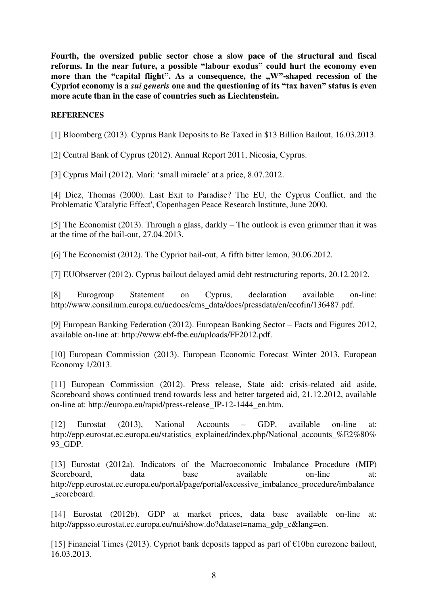**Fourth, the oversized public sector chose a slow pace of the structural and fiscal reforms. In the near future, a possible "labour exodus" could hurt the economy even more than the "capital flight". As a consequence, the .W"-shaped recession of the Cypriot economy is a** *sui generis* **one and the questioning of its "tax haven" status is even more acute than in the case of countries such as Liechtenstein.** 

## **REFERENCES**

[1] Bloomberg (2013). Cyprus Bank Deposits to Be Taxed in \$13 Billion Bailout, 16.03.2013.

[2] Central Bank of Cyprus (2012). Annual Report 2011, Nicosia, Cyprus.

[3] Cyprus Mail (2012). Mari: 'small miracle' at a price, 8.07.2012.

[4] Diez, Thomas (2000). Last Exit to Paradise? The EU, the Cyprus Conflict, and the Problematic 'Catalytic Effect', Copenhagen Peace Research Institute, June 2000.

[5] The Economist (2013). Through a glass, darkly – The outlook is even grimmer than it was at the time of the bail-out, 27.04.2013.

[6] The Economist (2012). The Cypriot bail-out, A fifth bitter lemon, 30.06.2012.

[7] EUObserver (2012). Cyprus bailout delayed amid debt restructuring reports, 20.12.2012.

[8] Eurogroup Statement on Cyprus, declaration available on-line: http://www.consilium.europa.eu/uedocs/cms\_data/docs/pressdata/en/ecofin/136487.pdf.

[9] European Banking Federation (2012). European Banking Sector – Facts and Figures 2012, available on-line at: http://www.ebf-fbe.eu/uploads/FF2012.pdf.

[10] European Commission (2013). European Economic Forecast Winter 2013, European Economy 1/2013.

[11] European Commission (2012). Press release, State aid: crisis-related aid aside, Scoreboard shows continued trend towards less and better targeted aid, 21.12.2012, available on-line at: http://europa.eu/rapid/press-release\_IP-12-1444\_en.htm.

[12] Eurostat (2013), National Accounts – GDP, available on-line at: http://epp.eurostat.ec.europa.eu/statistics\_explained/index.php/National\_accounts\_%E2%80% 93\_GDP.

[13] Eurostat (2012a). Indicators of the Macroeconomic Imbalance Procedure (MIP) Scoreboard, data base available on-line at: http://epp.eurostat.ec.europa.eu/portal/page/portal/excessive\_imbalance\_procedure/imbalance scoreboard.

[14] Eurostat (2012b). GDP at market prices, data base available on-line at: http://appsso.eurostat.ec.europa.eu/nui/show.do?dataset=nama\_gdp\_c&lang=en.

[15] Financial Times (2013). Cypriot bank deposits tapped as part of  $\epsilon$ 10bn eurozone bailout, 16.03.2013.